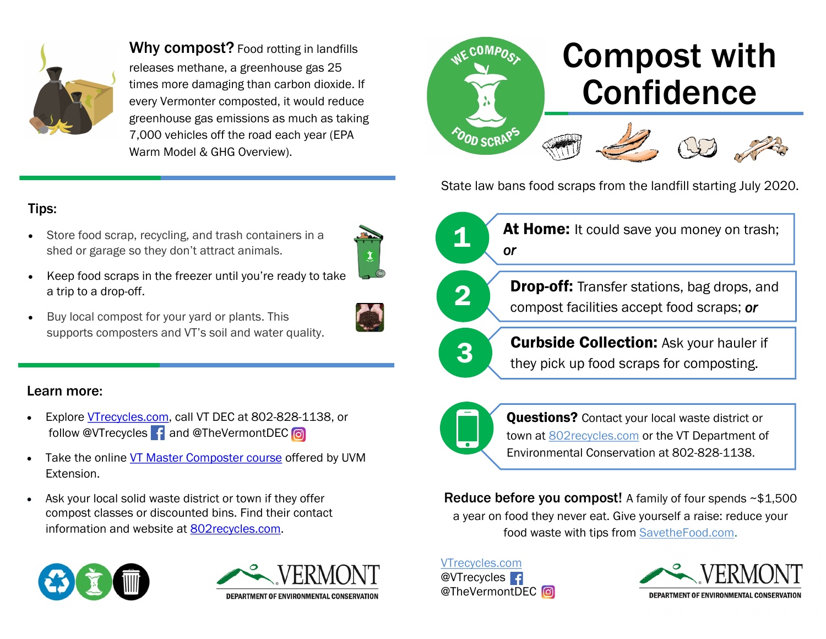

Why compost? Food rotting in landfills releases methane, a greenhouse gas 25 times more damaging than carbon dioxide. If every Vermonter composted, it would reduce greenhouse gas emissions as much as taking 7,000 vehicles off the road each year (EPA Warm Model & GHG Overview).



State law bans food scraps from the landfill starting July 2020.

**At Home:** It could save you money on trash;

### Tips:

- Store food scrap, recycling, and trash containers in a shed or garage so they don't attract animals.
- 
- Keep food scraps in the freezer until you're ready to take a trip to a drop-off.
- Buy local compost for your yard or plants. This supports composters and VT's soil and water quality.

## Learn more:

- Explore [VTrecycles.com,](http://vtrecycles.com) call VT DEC at 802-828-1138, or follow @VTrecycles | f and @TheVermontDEC | o
- Take the online [VT Master Composter course](https://www.uvm.edu/extension/mastergardener/vermont-master-composter-course) offered by UVM Extension.
- Ask your local solid waste district or town if they offer compost classes or discounted bins. Find their contact information and website at [802recycles.com.](http://802recycles.com)









**2 Drop-off:** Transfer stations, bag drops, and compost facilities accept food scraps; **or** 



**3** Curbside Collection: Ask your hauler if they pick up food scraps for composting.



**Questions?** Contact your local waste district or town at [802recycles.com](http://802recycles.com) or the VT Department of Environmental Conservation at 802-828-1138.

Reduce before you compost! A family of four spends ~\$1,500 a year on food they never eat. Give yourself a raise: reduce your food waste with tips from [SavetheFood.com.](http://savethefood.com)

[VTrecycles.com](http://www.vtrecycles.com/) @VTrecycles **1** @TheVermontDEC<sup>c</sup>